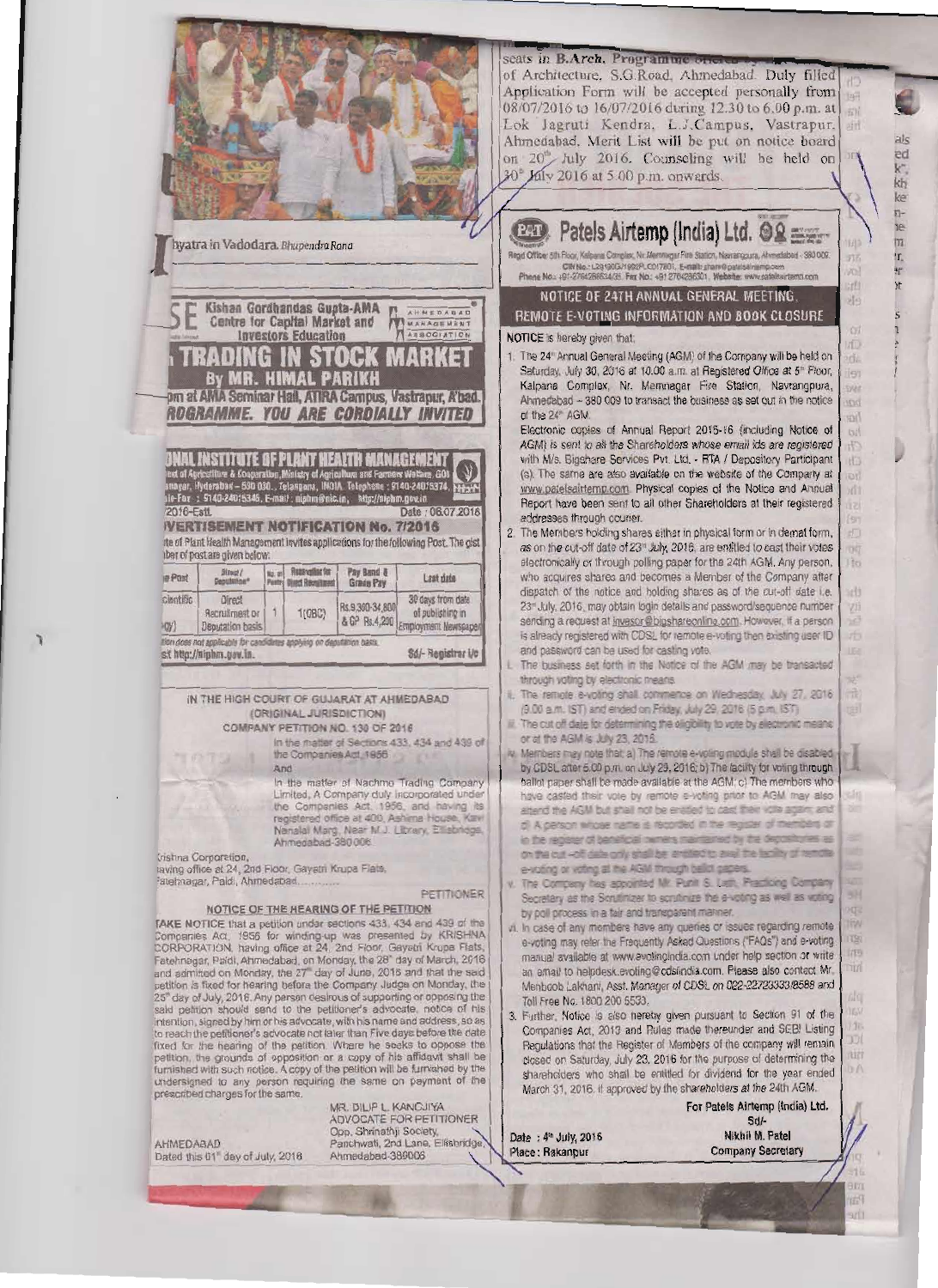